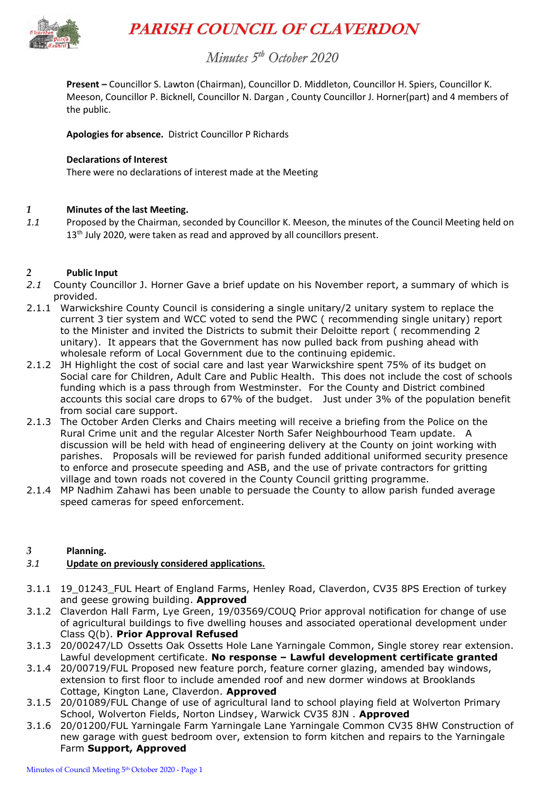

# **PARISH COUNCIL OF CLAVERDON**

# Minutes 5<sup>th</sup> October 2020

**Present –** Councillor S. Lawton (Chairman), Councillor D. Middleton, Councillor H. Spiers, Councillor K. Meeson, Councillor P. Bicknell, Councillor N. Dargan , County Councillor J. Horner(part) and 4 members of the public.

**Apologies for absence.** District Councillor P Richards

#### **Declarations of Interest**

There were no declarations of interest made at the Meeting

#### *1* **Minutes of the last Meeting.**

*1.1* Proposed by the Chairman, seconded by Councillor K. Meeson, the minutes of the Council Meeting held on 13<sup>th</sup> July 2020, were taken as read and approved by all councillors present.

#### *2* **Public Input**

- *2.1* County Councillor J. Horner Gave a brief update on his November report, a summary of which is provided.
- 2.1.1 Warwickshire County Council is considering a single unitary/2 unitary system to replace the current 3 tier system and WCC voted to send the PWC ( recommending single unitary) report to the Minister and invited the Districts to submit their Deloitte report ( recommending 2 unitary). It appears that the Government has now pulled back from pushing ahead with wholesale reform of Local Government due to the continuing epidemic.
- 2.1.2 JH Highlight the cost of social care and last year Warwickshire spent 75% of its budget on Social care for Children, Adult Care and Public Health. This does not include the cost of schools funding which is a pass through from Westminster. For the County and District combined accounts this social care drops to 67% of the budget. Just under 3% of the population benefit from social care support.
- 2.1.3 The October Arden Clerks and Chairs meeting will receive a briefing from the Police on the Rural Crime unit and the regular Alcester North Safer Neighbourhood Team update. A discussion will be held with head of engineering delivery at the County on joint working with parishes. Proposals will be reviewed for parish funded additional uniformed security presence to enforce and prosecute speeding and ASB, and the use of private contractors for gritting village and town roads not covered in the County Council gritting programme.
- 2.1.4 MP Nadhim Zahawi has been unable to persuade the County to allow parish funded average speed cameras for speed enforcement.

#### *3* **Planning.**

#### *3.1* **Update on previously considered applications.**

- 3.1.1 19\_01243\_FUL Heart of England Farms, Henley Road, Claverdon, CV35 8PS Erection of turkey and geese growing building. **Approved**
- 3.1.2 Claverdon Hall Farm, Lye Green, 19/03569/COUQ Prior approval notification for change of use of agricultural buildings to five dwelling houses and associated operational development under Class Q(b). **Prior Approval Refused**
- 3.1.3 20/00247/LD Ossetts Oak Ossetts Hole Lane Yarningale Common, Single storey rear extension. Lawful development certificate. **No response – Lawful development certificate granted**
- 3.1.4 20/00719/FUL Proposed new feature porch, feature corner glazing, amended bay windows, extension to first floor to include amended roof and new dormer windows at Brooklands Cottage, Kington Lane, Claverdon. **Approved**
- 3.1.5 20/01089/FUL Change of use of agricultural land to school playing field at Wolverton Primary School, Wolverton Fields, Norton Lindsey, Warwick CV35 8JN . **Approved**
- 3.1.6 20/01200/FUL Yarningale Farm Yarningale Lane Yarningale Common CV35 8HW Construction of new garage with guest bedroom over, extension to form kitchen and repairs to the Yarningale Farm **Support, Approved**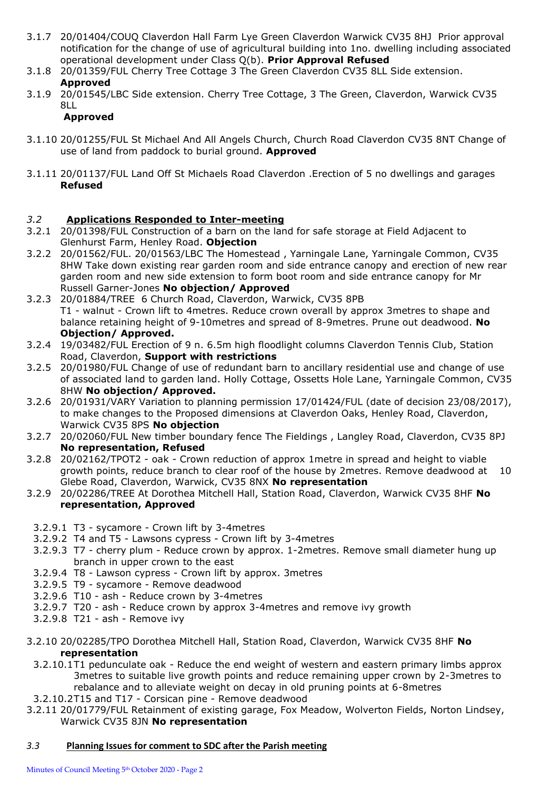- 3.1.7 20/01404/COUQ Claverdon Hall Farm Lye Green Claverdon Warwick CV35 8HJ Prior approval notification for the change of use of agricultural building into 1no. dwelling including associated operational development under Class Q(b). **Prior Approval Refused**
- 3.1.8 20/01359/FUL Cherry Tree Cottage 3 The Green Claverdon CV35 8LL Side extension. **Approved**
- 3.1.9 20/01545/LBC Side extension. Cherry Tree Cottage, 3 The Green, Claverdon, Warwick CV35 8LL

# **Approved**

- 3.1.10 20/01255/FUL St Michael And All Angels Church, Church Road Claverdon CV35 8NT Change of use of land from paddock to burial ground. **Approved**
- 3.1.11 20/01137/FUL Land Off St Michaels Road Claverdon .Erection of 5 no dwellings and garages **Refused**

# *3.2* **Applications Responded to Inter-meeting**

- 3.2.1 20/01398/FUL Construction of a barn on the land for safe storage at Field Adjacent to Glenhurst Farm, Henley Road. **Objection**
- 3.2.2 20/01562/FUL. 20/01563/LBC The Homestead , Yarningale Lane, Yarningale Common, CV35 8HW Take down existing rear garden room and side entrance canopy and erection of new rear garden room and new side extension to form boot room and side entrance canopy for Mr Russell Garner-Jones **No objection/ Approved**
- 3.2.3 20/01884/TREE 6 Church Road, Claverdon, Warwick, CV35 8PB T1 - walnut - Crown lift to 4metres. Reduce crown overall by approx 3metres to shape and balance retaining height of 9-10metres and spread of 8-9metres. Prune out deadwood. **No Objection/ Approved.**
- 3.2.4 19/03482/FUL Erection of 9 n. 6.5m high floodlight columns Claverdon Tennis Club, Station Road, Claverdon, **Support with restrictions**
- 3.2.5 20/01980/FUL Change of use of redundant barn to ancillary residential use and change of use of associated land to garden land. Holly Cottage, Ossetts Hole Lane, Yarningale Common, CV35 8HW **No objection/ Approved.**
- 3.2.6 20/01931/VARY Variation to planning permission 17/01424/FUL (date of decision 23/08/2017), to make changes to the Proposed dimensions at Claverdon Oaks, Henley Road, Claverdon, Warwick CV35 8PS **No objection**
- 3.2.7 20/02060/FUL New timber boundary fence The Fieldings , Langley Road, Claverdon, CV35 8PJ **No representation, Refused**
- 3.2.8 20/02162/TPOT2 oak Crown reduction of approx 1metre in spread and height to viable growth points, reduce branch to clear roof of the house by 2metres. Remove deadwood at 10 Glebe Road, Claverdon, Warwick, CV35 8NX **No representation**
- 3.2.9 20/02286/TREE At Dorothea Mitchell Hall, Station Road, Claverdon, Warwick CV35 8HF **No representation, Approved**
	- 3.2.9.1 T3 sycamore Crown lift by 3-4metres
	- 3.2.9.2 T4 and T5 Lawsons cypress Crown lift by 3-4metres
	- 3.2.9.3 T7 cherry plum Reduce crown by approx. 1-2metres. Remove small diameter hung up branch in upper crown to the east
	- 3.2.9.4 T8 Lawson cypress Crown lift by approx. 3metres
	- 3.2.9.5 T9 sycamore Remove deadwood
	- 3.2.9.6 T10 ash Reduce crown by 3-4metres
	- 3.2.9.7 T20 ash Reduce crown by approx 3-4metres and remove ivy growth
	- 3.2.9.8 T21 ash Remove ivy
- 3.2.10 20/02285/TPO Dorothea Mitchell Hall, Station Road, Claverdon, Warwick CV35 8HF **No representation**
	- 3.2.10.1T1 pedunculate oak Reduce the end weight of western and eastern primary limbs approx 3metres to suitable live growth points and reduce remaining upper crown by 2-3metres to rebalance and to alleviate weight on decay in old pruning points at 6-8metres
- 3.2.10.2T15 and T17 Corsican pine Remove deadwood
- 3.2.11 20/01779/FUL Retainment of existing garage, Fox Meadow, Wolverton Fields, Norton Lindsey, Warwick CV35 8JN **No representation**

## *3.3* **Planning Issues for comment to SDC after the Parish meeting**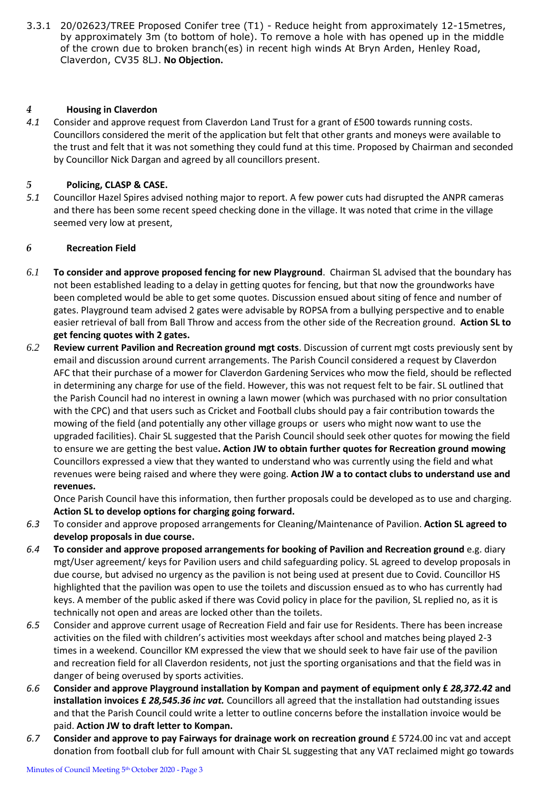3.3.1 20/02623/TREE Proposed Conifer tree (T1) - Reduce height from approximately 12-15metres, by approximately 3m (to bottom of hole). To remove a hole with has opened up in the middle of the crown due to broken branch(es) in recent high winds At Bryn Arden, Henley Road, Claverdon, CV35 8LJ. **No Objection.**

#### *4* **Housing in Claverdon**

*4.1* Consider and approve request from Claverdon Land Trust for a grant of £500 towards running costs. Councillors considered the merit of the application but felt that other grants and moneys were available to the trust and felt that it was not something they could fund at this time. Proposed by Chairman and seconded by Councillor Nick Dargan and agreed by all councillors present.

#### *5* **Policing, CLASP & CASE.**

*5.1* Councillor Hazel Spires advised nothing major to report. A few power cuts had disrupted the ANPR cameras and there has been some recent speed checking done in the village. It was noted that crime in the village seemed very low at present,

#### *6* **Recreation Field**

- *6.1* **To consider and approve proposed fencing for new Playground**. Chairman SL advised that the boundary has not been established leading to a delay in getting quotes for fencing, but that now the groundworks have been completed would be able to get some quotes. Discussion ensued about siting of fence and number of gates. Playground team advised 2 gates were advisable by ROPSA from a bullying perspective and to enable easier retrieval of ball from Ball Throw and access from the other side of the Recreation ground. **Action SL to get fencing quotes with 2 gates.**
- *6.2* **Review current Pavilion and Recreation ground mgt costs**. Discussion of current mgt costs previously sent by email and discussion around current arrangements. The Parish Council considered a request by Claverdon AFC that their purchase of a mower for Claverdon Gardening Services who mow the field, should be reflected in determining any charge for use of the field. However, this was not request felt to be fair. SL outlined that the Parish Council had no interest in owning a lawn mower (which was purchased with no prior consultation with the CPC) and that users such as Cricket and Football clubs should pay a fair contribution towards the mowing of the field (and potentially any other village groups or users who might now want to use the upgraded facilities). Chair SL suggested that the Parish Council should seek other quotes for mowing the field to ensure we are getting the best value**. Action JW to obtain further quotes for Recreation ground mowing** Councillors expressed a view that they wanted to understand who was currently using the field and what revenues were being raised and where they were going. **Action JW a to contact clubs to understand use and revenues.**

Once Parish Council have this information, then further proposals could be developed as to use and charging. **Action SL to develop options for charging going forward.**

- *6.3* To consider and approve proposed arrangements for Cleaning/Maintenance of Pavilion. **Action SL agreed to develop proposals in due course.**
- *6.4* **To consider and approve proposed arrangements for booking of Pavilion and Recreation ground** e.g. diary mgt/User agreement/ keys for Pavilion users and child safeguarding policy. SL agreed to develop proposals in due course, but advised no urgency as the pavilion is not being used at present due to Covid. Councillor HS highlighted that the pavilion was open to use the toilets and discussion ensued as to who has currently had keys. A member of the public asked if there was Covid policy in place for the pavilion, SL replied no, as it is technically not open and areas are locked other than the toilets.
- *6.5* Consider and approve current usage of Recreation Field and fair use for Residents. There has been increase activities on the filed with children's activities most weekdays after school and matches being played 2-3 times in a weekend. Councillor KM expressed the view that we should seek to have fair use of the pavilion and recreation field for all Claverdon residents, not just the sporting organisations and that the field was in danger of being overused by sports activities.
- *6.6* **Consider and approve Playground installation by Kompan and payment of equipment only £** *28,372.42* **and installation invoices £** *28,545.36 inc vat.* Councillors all agreed that the installation had outstanding issues and that the Parish Council could write a letter to outline concerns before the installation invoice would be paid. **Action JW to draft letter to Kompan.**
- *6.7* **Consider and approve to pay Fairways for drainage work on recreation ground** £ 5724.00 inc vat and accept donation from football club for full amount with Chair SL suggesting that any VAT reclaimed might go towards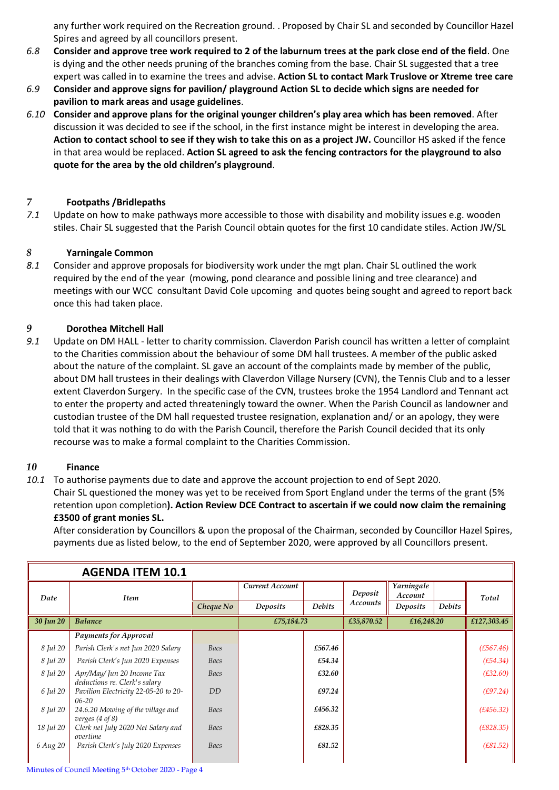any further work required on the Recreation ground. . Proposed by Chair SL and seconded by Councillor Hazel Spires and agreed by all councillors present.

- *6.8* **Consider and approve tree work required to 2 of the laburnum trees at the park close end of the field**. One is dying and the other needs pruning of the branches coming from the base. Chair SL suggested that a tree expert was called in to examine the trees and advise. **Action SL to contact Mark Truslove or Xtreme tree care**
- *6.9* **Consider and approve signs for pavilion/ playground Action SL to decide which signs are needed for pavilion to mark areas and usage guidelines**.
- *6.10* **Consider and approve plans for the original younger children's play area which has been removed**. After discussion it was decided to see if the school, in the first instance might be interest in developing the area. **Action to contact school to see if they wish to take this on as a project JW.** Councillor HS asked if the fence in that area would be replaced. **Action SL agreed to ask the fencing contractors for the playground to also quote for the area by the old children's playground**.

## *7* **Footpaths /Bridlepaths**

*7.1* Update on how to make pathways more accessible to those with disability and mobility issues e.g. wooden stiles. Chair SL suggested that the Parish Council obtain quotes for the first 10 candidate stiles. Action JW/SL

#### *8* **Yarningale Common**

*8.1* Consider and approve proposals for biodiversity work under the mgt plan. Chair SL outlined the work required by the end of the year (mowing, pond clearance and possible lining and tree clearance) and meetings with our WCC consultant David Cole upcoming and quotes being sought and agreed to report back once this had taken place.

# *9* **Dorothea Mitchell Hall**

*9.1* Update on DM HALL - letter to charity commission. Claverdon Parish council has written a letter of complaint to the Charities commission about the behaviour of some DM hall trustees. A member of the public asked about the nature of the complaint. SL gave an account of the complaints made by member of the public, about DM hall trustees in their dealings with Claverdon Village Nursery (CVN), the Tennis Club and to a lesser extent Claverdon Surgery. In the specific case of the CVN, trustees broke the 1954 Landlord and Tennant act to enter the property and acted threateningly toward the owner. When the Parish Council as landowner and custodian trustee of the DM hall requested trustee resignation, explanation and/ or an apology, they were told that it was nothing to do with the Parish Council, therefore the Parish Council decided that its only recourse was to make a formal complaint to the Charities Commission.

#### *10* **Finance**

*10.1* To authorise payments due to date and approve the account projection to end of Sept 2020. Chair SL questioned the money was yet to be received from Sport England under the terms of the grant (5% retention upon completion**). Action Review DCE Contract to ascertain if we could now claim the remaining £3500 of grant monies SL.** 

After consideration by Councillors & upon the proposal of the Chairman, seconded by Councillor Hazel Spires, payments due as listed below, to the end of September 2020, were approved by all Councillors present.

|           | <b>AGENDA ITEM 10.1</b>                                         |                |                        |               |                     |                       |               |             |
|-----------|-----------------------------------------------------------------|----------------|------------------------|---------------|---------------------|-----------------------|---------------|-------------|
| Date      | <b>Item</b>                                                     |                | <b>Current Account</b> |               | Deposit<br>Accounts | Yarningale<br>Account |               | Total       |
|           |                                                                 | Cheque No      | Deposits               | <b>Debits</b> |                     | Deposits              | <b>Debits</b> |             |
| 30 Jun 20 | <b>Balance</b>                                                  |                | £75,184.73             |               | £35,870.52          | £16,248.20            |               | £127,303.45 |
|           | <b>Payments for Approval</b>                                    |                |                        |               |                     |                       |               |             |
| 8 Jul 20  | Parish Clerk's net Jun 2020 Salary                              | Bacs           |                        | £567.46       |                     |                       |               | (E567.46)   |
| 8 Jul 20  | Parish Clerk's Jun 2020 Expenses                                | Bacs           |                        | £54.34        |                     |                       |               | (E54.34)    |
| 8 Jul 20  | Apr/May/Jun 20 Income Tax<br>deductions re. Clerk's salary      | Bacs           |                        | £32.60        |                     |                       |               | (E32.60)    |
| 6 Jul 20  | Pavilion Electricity 22-05-20 to 20-<br>$06 - 20$               | D <sub>D</sub> |                        | £97.24        |                     |                       |               | (E97.24)    |
| 8 Jul 20  | 24.6.20 Mowing of the village and<br>verges $(4 \text{ of } 8)$ | Bacs           |                        | £456.32       |                     |                       |               | (E456.32)   |
| 18 Jul 20 | Clerk net July 2020 Net Salary and<br>overtime                  | Bacs           |                        | £828.35       |                     |                       |               | (E828.35)   |
| 6 Aug 20  | Parish Clerk's July 2020 Expenses                               | Bacs           |                        | £81.52        |                     |                       |               | (E81.52)    |

Minutes of Council Meeting 5<sup>th</sup> October 2020 - Page 4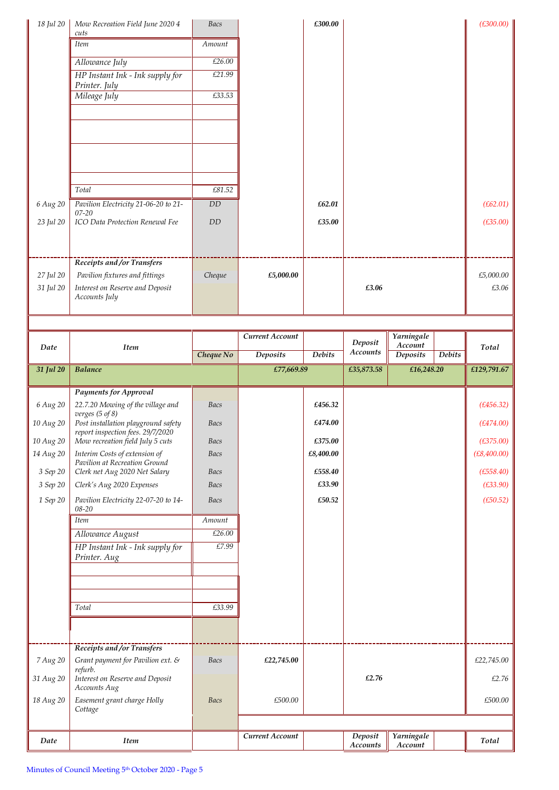| 18 Jul 20 | Mow Recreation Field June 2020 4<br>cuts          | Bacs   |                               | £300.00 |                           | (E300.00) |
|-----------|---------------------------------------------------|--------|-------------------------------|---------|---------------------------|-----------|
|           | <b>Item</b>                                       | Amount |                               |         |                           |           |
|           | Allowance July                                    | £26.00 |                               |         |                           |           |
|           | HP Instant Ink - Ink supply for<br>Printer. July  | £21.99 |                               |         |                           |           |
|           | Mileage July                                      | £33.53 |                               |         |                           |           |
|           |                                                   |        |                               |         |                           |           |
|           |                                                   |        |                               |         |                           |           |
|           |                                                   |        |                               |         |                           |           |
|           |                                                   |        |                               |         |                           |           |
|           | Total                                             | £81.52 |                               |         |                           |           |
| 6 Aug 20  | Pavilion Electricity 21-06-20 to 21-<br>$07 - 20$ | DD     |                               | £62.01  |                           | (E62.01)  |
| 23 Jul 20 | ICO Data Protection Renewal Fee                   | DD     |                               | £35.00  |                           | (E35.00)  |
|           |                                                   |        |                               |         |                           |           |
|           | Receipts and /or Transfers                        |        |                               |         |                           |           |
| 27 Jul 20 | Pavilion fixtures and fittings                    | Cheque | £5,000.00                     |         |                           | £5,000.00 |
| 31 Jul 20 | Interest on Reserve and Deposit<br>Accounts July  |        |                               |         | £3.06                     | £3.06     |
|           |                                                   |        |                               |         |                           |           |
|           |                                                   |        | $\sim$<br>$\mathbf{A}$<br>. . |         | $\mathbf{v}$ $\mathbf{v}$ |           |

| Date      | <b>Item</b>                                                           |             | Current Account |               | Deposit<br><b>Accounts</b> | Yarningale<br>Account |        | Total       |
|-----------|-----------------------------------------------------------------------|-------------|-----------------|---------------|----------------------------|-----------------------|--------|-------------|
|           |                                                                       | Cheque No   | <b>Deposits</b> | <b>Debits</b> |                            | <b>Deposits</b>       | Debits |             |
| 31 Jul 20 | <b>Balance</b>                                                        |             | £77,669.89      |               | £35,873.58                 | £16,248.20            |        | £129,791.67 |
|           | Payments for Approval                                                 |             |                 |               |                            |                       |        |             |
| 6 Aug 20  | 22.7.20 Mowing of the village and                                     | Bacs        |                 | £456.32       |                            |                       |        | (E456.32)   |
|           | verges $(5 \text{ of } 8)$                                            |             |                 |               |                            |                       |        |             |
| 10 Aug 20 | Post installation playground safety                                   | Bacs        |                 | £474.00       |                            |                       |        | (E474.00)   |
| 10 Aug 20 | report inspection fees. 29/7/2020<br>Mow recreation field July 5 cuts | <b>Bacs</b> |                 | £375.00       |                            |                       |        | (E375.00)   |
| 14 Aug 20 | Interim Costs of extension of                                         | <b>Bacs</b> |                 | £8,400.00     |                            |                       |        | (E8,400.00) |
|           | Pavilion at Recreation Ground                                         |             |                 |               |                            |                       |        |             |
| 3 Sep 20  | Clerk net Aug 2020 Net Salary                                         | <b>Bacs</b> |                 | £558.40       |                            |                       |        | (E558.40)   |
| 3 Sep 20  | Clerk's Aug 2020 Expenses                                             | Bacs        |                 | £33.90        |                            |                       |        | (E33.90)    |
| 1 Sep 20  | Pavilion Electricity 22-07-20 to 14-<br>08-20                         | Bacs        |                 | £50.52        |                            |                       |        | (E50.52)    |
|           | <b>Item</b>                                                           | Amount      |                 |               |                            |                       |        |             |
|           | Allowance August                                                      | £26.00      |                 |               |                            |                       |        |             |
|           | HP Instant Ink - Ink supply for                                       | £7.99       |                 |               |                            |                       |        |             |
|           | Printer. Aug                                                          |             |                 |               |                            |                       |        |             |
|           |                                                                       |             |                 |               |                            |                       |        |             |
|           |                                                                       |             |                 |               |                            |                       |        |             |
|           |                                                                       |             |                 |               |                            |                       |        |             |
|           | Total                                                                 | £33.99      |                 |               |                            |                       |        |             |
|           |                                                                       |             |                 |               |                            |                       |        |             |
|           |                                                                       |             |                 |               |                            |                       |        |             |
|           | Receipts and /or Transfers                                            |             |                 |               |                            |                       |        |             |
| 7 Aug 20  | Grant payment for Pavilion ext. &<br>refurb.                          | Bacs        | £22,745.00      |               |                            |                       |        | £22,745.00  |
| 31 Aug 20 | Interest on Reserve and Deposit                                       |             |                 |               | £2.76                      |                       |        | £2.76       |
|           | Accounts Aug                                                          |             |                 |               |                            |                       |        |             |
| 18 Aug 20 | Easement grant charge Holly<br>Cottage                                | <b>Bacs</b> | £500.00         |               |                            |                       |        | £500.00     |
|           |                                                                       |             |                 |               |                            |                       |        |             |
|           |                                                                       |             | Current Account |               | Deposit                    | Yarningale            |        |             |
| Date      | <b>Item</b>                                                           |             |                 |               | Accounts                   | Account               |        | Total       |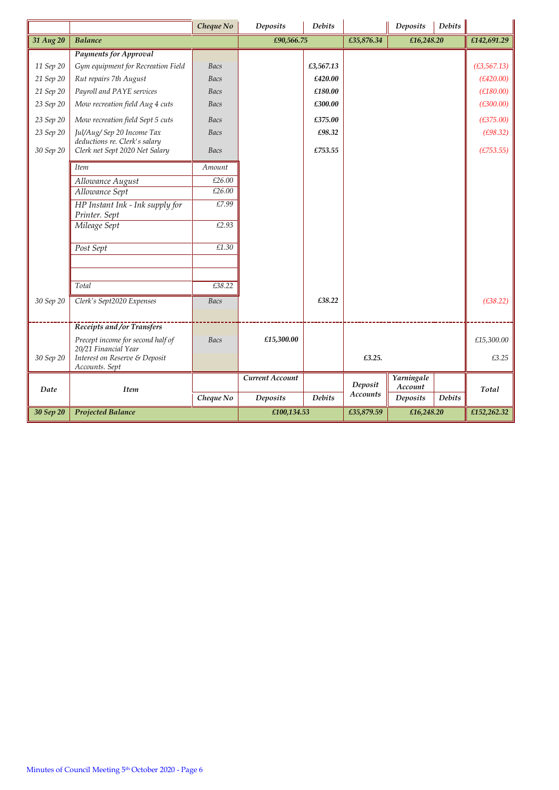|           |                                                             | Cheque No   | <b>Deposits</b> | <b>Debits</b> |            | Deposits              | <b>Debits</b> |              |
|-----------|-------------------------------------------------------------|-------------|-----------------|---------------|------------|-----------------------|---------------|--------------|
| 31 Aug 20 | <b>Balance</b>                                              |             | £90,566.75      |               | £35,876.34 | £16,248.20            |               | £142,691.29  |
|           | <b>Payments for Approval</b>                                |             |                 |               |            |                       |               |              |
| 11 Sep 20 | Gym equipment for Recreation Field                          | Bacs        |                 | £3,567.13     |            |                       |               | (E3, 567.13) |
| 21 Sep 20 | Rut repairs 7th August                                      | Bacs        |                 | £420.00       |            |                       |               | (E420.00)    |
| 21 Sep 20 | Payroll and PAYE services                                   | Bacs        |                 | £180.00       |            |                       |               | (E180.00)    |
| 23 Sep 20 | Mow recreation field Aug 4 cuts                             | Bacs        |                 | £300.00       |            |                       |               | (E300.00)    |
| 23 Sep 20 | Mow recreation field Sept 5 cuts                            | <b>Bacs</b> |                 | £375.00       |            |                       |               | (E375.00)    |
| 23 Sep 20 | Jul/Aug/ Sep 20 Income Tax<br>deductions re. Clerk's salary | Bacs        |                 | £98.32        |            |                       |               | (E98.32)     |
| 30 Sep 20 | Clerk net Sept 2020 Net Salary                              | <b>Bacs</b> |                 | £753.55       |            |                       |               | (E753.55)    |
|           | <b>Item</b>                                                 | Amount      |                 |               |            |                       |               |              |
|           | Allowance August                                            | £26.00      |                 |               |            |                       |               |              |
|           | Allowance Sept                                              | £26.00      |                 |               |            |                       |               |              |
|           | HP Instant Ink - Ink supply for<br>Printer. Sept            | £7.99       |                 |               |            |                       |               |              |
|           | Mileage Sept                                                | £2.93       |                 |               |            |                       |               |              |
|           | Post Sept                                                   | £1.30       |                 |               |            |                       |               |              |
|           |                                                             |             |                 |               |            |                       |               |              |
|           | Total                                                       | £38.22      |                 |               |            |                       |               |              |
| 30 Sep 20 | Clerk's Sept2020 Expenses                                   | <b>Bacs</b> |                 | £38.22        |            |                       |               | (E38.22)     |
|           | Receipts and /or Transfers                                  |             |                 |               |            |                       |               |              |
|           | Precept income for second half of<br>20/21 Financial Year   | Bacs        | £15,300.00      |               |            |                       |               | £15,300.00   |
| 30 Sep 20 | Interest on Reserve & Deposit<br>Accounts. Sept             |             |                 |               | £3.25.     |                       |               | £3.25        |
| Date      | Item                                                        |             | Current Account |               | Deposit    | Yarningale<br>Account |               | Total        |
|           |                                                             | Cheque No   | <b>Deposits</b> | <b>Debits</b> | Accounts   | <b>Deposits</b>       | <b>Debits</b> |              |
| 30 Sep 20 | <b>Projected Balance</b>                                    |             | £100,134.53     |               | £35,879.59 | £16,248.20            |               | £152,262.32  |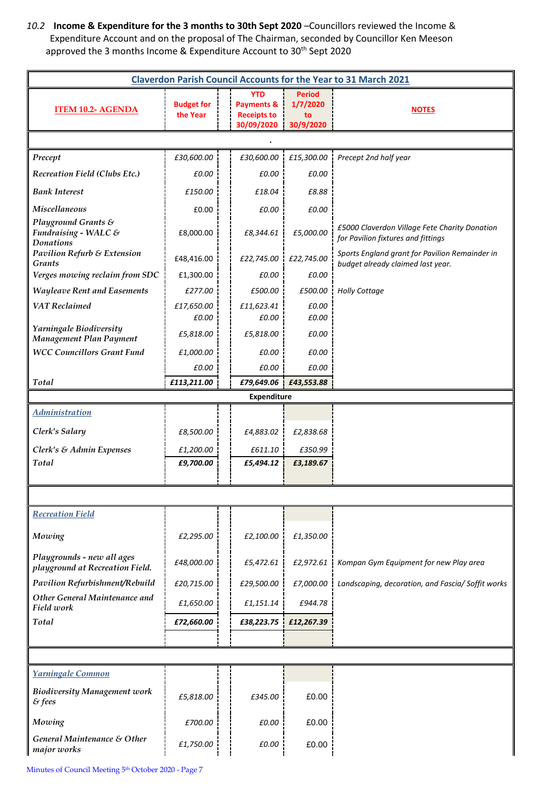*10.2* **Income & Expenditure for the 3 months to 30th Sept 2020** –Councillors reviewed the Income & Expenditure Account and on the proposal of The Chairman, seconded by Councillor Ken Meeson approved the 3 months Income & Expenditure Account to 30<sup>th</sup> Sept 2020

| <b>Claverdon Parish Council Accounts for the Year to 31 March 2021</b> |                               |                                                                         |                                              |                                                                                     |  |  |  |  |
|------------------------------------------------------------------------|-------------------------------|-------------------------------------------------------------------------|----------------------------------------------|-------------------------------------------------------------------------------------|--|--|--|--|
| <b>ITEM 10.2- AGENDA</b>                                               | <b>Budget for</b><br>the Year | <b>YTD</b><br><b>Payments &amp;</b><br><b>Receipts to</b><br>30/09/2020 | <b>Period</b><br>1/7/2020<br>to<br>30/9/2020 | <b>NOTES</b>                                                                        |  |  |  |  |
|                                                                        |                               |                                                                         |                                              |                                                                                     |  |  |  |  |
| Precept                                                                | £30,600.00                    | £30,600.00                                                              | £15,300.00                                   | Precept 2nd half year                                                               |  |  |  |  |
| <b>Recreation Field (Clubs Etc.)</b>                                   | £0.00                         | £0.00                                                                   | £0.00                                        |                                                                                     |  |  |  |  |
| <b>Bank Interest</b>                                                   | £150.00                       | £18.04                                                                  | £8.88                                        |                                                                                     |  |  |  |  |
| <b>Miscellaneous</b>                                                   | £0.00                         | £0.00                                                                   | £0.00                                        |                                                                                     |  |  |  |  |
| Playground Grants &<br>Fundraising - WALC &<br><b>Donations</b>        | £8,000.00                     | £8,344.61                                                               | £5,000.00                                    | £5000 Claverdon Village Fete Charity Donation<br>for Pavilion fixtures and fittings |  |  |  |  |
| <b>Pavilion Refurb &amp; Extension</b><br><b>Grants</b>                | £48,416.00                    | £22,745.00                                                              | £22,745.00                                   | Sports England grant for Pavilion Remainder in<br>budget already claimed last year. |  |  |  |  |
| Verges mowing reclaim from SDC                                         | £1,300.00                     | £0.00                                                                   | £0.00                                        |                                                                                     |  |  |  |  |
| <b>Wayleave Rent and Easements</b>                                     | £277.00                       | £500.00                                                                 | £500.00                                      | <b>Holly Cottage</b>                                                                |  |  |  |  |
| <b>VAT Reclaimed</b>                                                   | £17,650.00<br>£0.00           | £11,623.41<br>£0.00                                                     | £0.00<br>£0.00                               |                                                                                     |  |  |  |  |
| Yarningale Biodiversity                                                | £5,818.00                     | £5,818.00                                                               | £0.00                                        |                                                                                     |  |  |  |  |
| Management Plan Payment                                                |                               |                                                                         |                                              |                                                                                     |  |  |  |  |
| <b>WCC Councillors Grant Fund</b>                                      | £1,000.00                     | £0.00                                                                   | £0.00                                        |                                                                                     |  |  |  |  |
| Total                                                                  | £0.00<br>£113,211.00          | £0.00                                                                   | £0.00<br>£79,649.06 £43,553.88               |                                                                                     |  |  |  |  |
|                                                                        |                               | <b>Expenditure</b>                                                      |                                              |                                                                                     |  |  |  |  |
| <b>Administration</b>                                                  |                               |                                                                         |                                              |                                                                                     |  |  |  |  |
| Clerk's Salary                                                         | £8,500.00                     | £4,883.02                                                               | £2,838.68                                    |                                                                                     |  |  |  |  |
| Clerk's & Admin Expenses                                               | £1,200.00                     | £611.10                                                                 | £350.99                                      |                                                                                     |  |  |  |  |
| Total                                                                  | £9,700.00                     | £5,494.12                                                               | £3,189.67                                    |                                                                                     |  |  |  |  |
|                                                                        |                               |                                                                         |                                              |                                                                                     |  |  |  |  |
|                                                                        |                               |                                                                         |                                              |                                                                                     |  |  |  |  |
| <b>Recreation Field</b>                                                |                               |                                                                         |                                              |                                                                                     |  |  |  |  |
| Mowing                                                                 | £2,295.00                     | £2,100.00                                                               | £1,350.00                                    |                                                                                     |  |  |  |  |
| Playgrounds - new all ages<br>playground at Recreation Field.          | £48,000.00                    | £5,472.61                                                               | £2,972.61                                    | Kompan Gym Equipment for new Play area                                              |  |  |  |  |
| Pavilion Refurbishment/Rebuild                                         | £20,715.00                    | £29,500.00                                                              | £7,000.00                                    | Landscaping, decoration, and Fascia/ Soffit works                                   |  |  |  |  |
| Other General Maintenance and<br>Field work                            | £1,650.00                     | £1,151.14                                                               | £944.78                                      |                                                                                     |  |  |  |  |
| Total                                                                  | £72,660.00                    | £38,223.75                                                              | £12,267.39                                   |                                                                                     |  |  |  |  |
|                                                                        |                               |                                                                         |                                              |                                                                                     |  |  |  |  |
|                                                                        |                               |                                                                         |                                              |                                                                                     |  |  |  |  |
| Yarningale Common                                                      |                               |                                                                         |                                              |                                                                                     |  |  |  |  |
| <b>Biodiversity Management work</b><br>$8$ fees                        | £5,818.00                     | £345.00                                                                 | £0.00                                        |                                                                                     |  |  |  |  |
| Mowing                                                                 | £700.00                       | £0.00                                                                   | £0.00                                        |                                                                                     |  |  |  |  |
| General Maintenance & Other<br>major works                             | £1,750.00                     | £0.00                                                                   | £0.00                                        |                                                                                     |  |  |  |  |

Minutes of Council Meeting 5<sup>th</sup> October 2020 - Page 7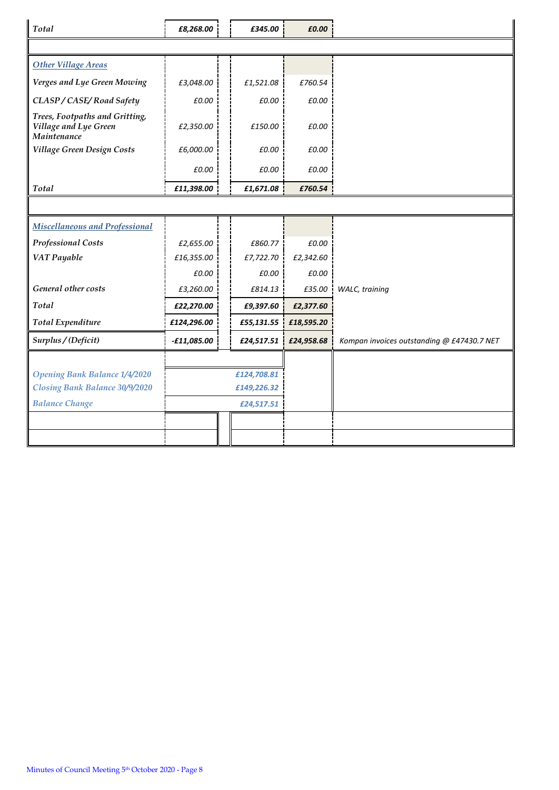| Total                                                                  | £8,268.00     | £345.00     | £0.00      |                                            |
|------------------------------------------------------------------------|---------------|-------------|------------|--------------------------------------------|
|                                                                        |               |             |            |                                            |
| <b>Other Village Areas</b>                                             |               |             |            |                                            |
| Verges and Lye Green Mowing                                            | £3,048.00     | £1,521.08   | £760.54    |                                            |
| CLASP / CASE/Road Safety                                               | £0.00         | £0.00       | £0.00      |                                            |
| Trees, Footpaths and Gritting,<br>Village and Lye Green<br>Maintenance | £2,350.00     | £150.00     | £0.00      |                                            |
| Village Green Design Costs                                             | £6,000.00     | £0.00       | £0.00      |                                            |
|                                                                        | £0.00         | £0.00       | £0.00      |                                            |
| Total                                                                  | £11,398.00    | £1,671.08   | £760.54    |                                            |
|                                                                        |               |             |            |                                            |
| <b>Miscellaneous and Professional</b>                                  |               |             |            |                                            |
| <b>Professional Costs</b>                                              | £2,655.00     | £860.77     | £0.00      |                                            |
| VAT Payable                                                            | £16,355.00    | £7,722.70   | £2,342.60  |                                            |
|                                                                        | £0.00         | £0.00       | £0.00      |                                            |
| General other costs                                                    | £3,260.00     | £814.13     | £35.00     | WALC, training                             |
| Total                                                                  | £22,270.00    | £9,397.60   | £2,377.60  |                                            |
| <b>Total Expenditure</b>                                               | £124,296.00   | £55,131.55  | £18,595.20 |                                            |
| Surplus / (Deficit)                                                    | $-£11,085.00$ | £24,517.51  | £24,958.68 | Kompan invoices outstanding @ £47430.7 NET |
|                                                                        |               |             |            |                                            |
| <b>Opening Bank Balance 1/4/2020</b>                                   |               | £124,708.81 |            |                                            |
| Closing Bank Balance 30/9/2020                                         |               | £149,226.32 |            |                                            |
| <b>Balance Change</b>                                                  |               | £24,517.51  |            |                                            |
|                                                                        |               |             |            |                                            |
|                                                                        |               |             |            |                                            |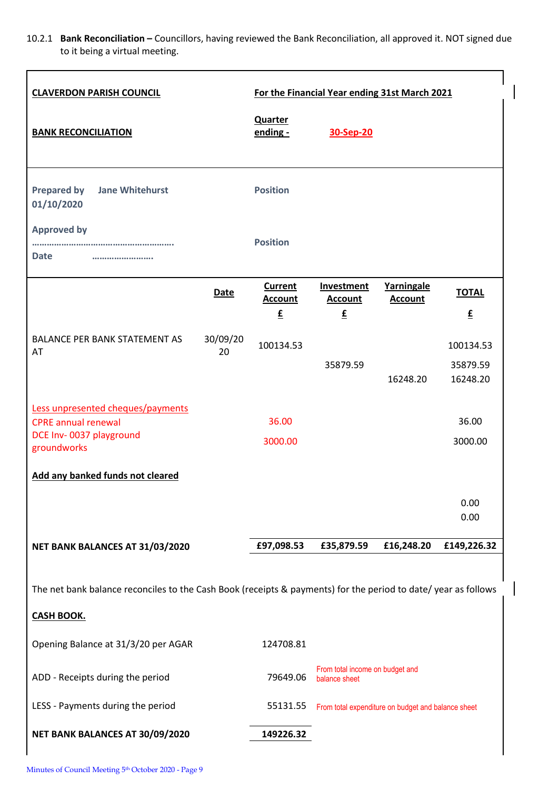10.2.1 **Bank Reconciliation –** Councillors, having reviewed the Bank Reconciliation, all approved it. NOT signed due to it being a virtual meeting.

 $\overline{\phantom{a}}$ 

 $\overline{\phantom{a}}$ 

| <b>CLAVERDON PARISH COUNCIL</b>                                                                                                     | For the Financial Year ending 31st March 2021 |                                                  |                                                    |                              |                                          |  |
|-------------------------------------------------------------------------------------------------------------------------------------|-----------------------------------------------|--------------------------------------------------|----------------------------------------------------|------------------------------|------------------------------------------|--|
| <b>BANK RECONCILIATION</b>                                                                                                          |                                               | <b>Quarter</b><br>ending -                       | 30-Sep-20                                          |                              |                                          |  |
| <b>Prepared by</b><br><b>Jane Whitehurst</b><br>01/10/2020                                                                          |                                               | <b>Position</b>                                  |                                                    |                              |                                          |  |
| <b>Approved by</b><br><b>Date</b><br>                                                                                               |                                               | <b>Position</b>                                  |                                                    |                              |                                          |  |
|                                                                                                                                     | <b>Date</b>                                   | <b>Current</b><br><b>Account</b><br>£            | Investment<br><b>Account</b><br>£                  | Yarningale<br><b>Account</b> | <b>TOTAL</b><br>$\underline{\mathbf{f}}$ |  |
| <b>BALANCE PER BANK STATEMENT AS</b><br>AT                                                                                          | 30/09/20<br>20                                | 100134.53                                        | 35879.59                                           | 16248.20                     | 100134.53<br>35879.59<br>16248.20        |  |
| Less unpresented cheques/payments<br><b>CPRE</b> annual renewal<br>DCE Inv-0037 playground<br>groundworks                           |                                               | 36.00<br>3000.00                                 |                                                    |                              | 36.00<br>3000.00                         |  |
| Add any banked funds not cleared                                                                                                    |                                               |                                                  |                                                    |                              |                                          |  |
|                                                                                                                                     |                                               |                                                  |                                                    |                              | 0.00<br>0.00                             |  |
| NET BANK BALANCES AT 31/03/2020                                                                                                     |                                               | £97,098.53                                       | £35,879.59                                         | £16,248.20                   | £149,226.32                              |  |
| The net bank balance reconciles to the Cash Book (receipts & payments) for the period to date/ year as follows<br><b>CASH BOOK.</b> |                                               |                                                  |                                                    |                              |                                          |  |
| Opening Balance at 31/3/20 per AGAR                                                                                                 |                                               | 124708.81                                        |                                                    |                              |                                          |  |
| ADD - Receipts during the period                                                                                                    | 79649.06                                      | From total income on budget and<br>balance sheet |                                                    |                              |                                          |  |
| LESS - Payments during the period                                                                                                   |                                               | 55131.55                                         | From total expenditure on budget and balance sheet |                              |                                          |  |
| NET BANK BALANCES AT 30/09/2020                                                                                                     |                                               | 149226.32                                        |                                                    |                              |                                          |  |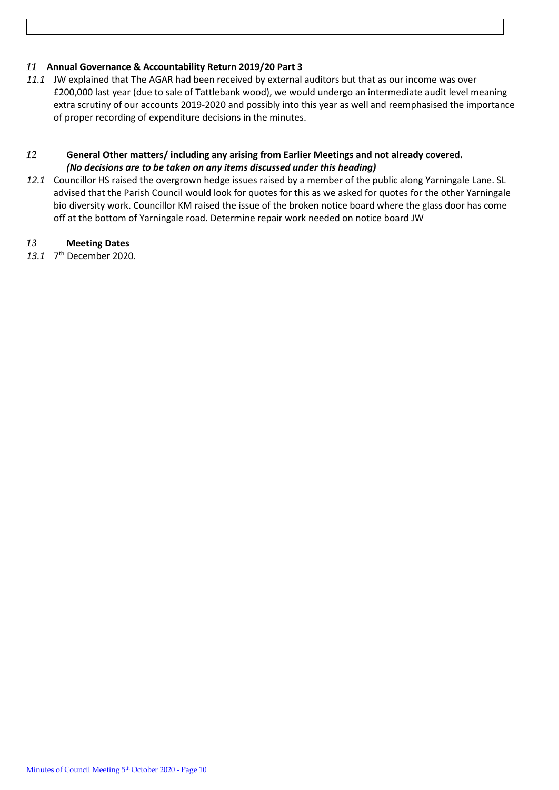## *11* **Annual Governance & Accountability Return 2019/20 Part 3**

*11.1* JW explained that The AGAR had been received by external auditors but that as our income was over £200,000 last year (due to sale of Tattlebank wood), we would undergo an intermediate audit level meaning extra scrutiny of our accounts 2019-2020 and possibly into this year as well and reemphasised the importance of proper recording of expenditure decisions in the minutes.

## *12* **General Other matters/ including any arising from Earlier Meetings and not already covered.** *(No decisions are to be taken on any items discussed under this heading)*

*12.1* Councillor HS raised the overgrown hedge issues raised by a member of the public along Yarningale Lane. SL advised that the Parish Council would look for quotes for this as we asked for quotes for the other Yarningale bio diversity work. Councillor KM raised the issue of the broken notice board where the glass door has come off at the bottom of Yarningale road. Determine repair work needed on notice board JW

# *13* **Meeting Dates**

13.1 7<sup>th</sup> December 2020.